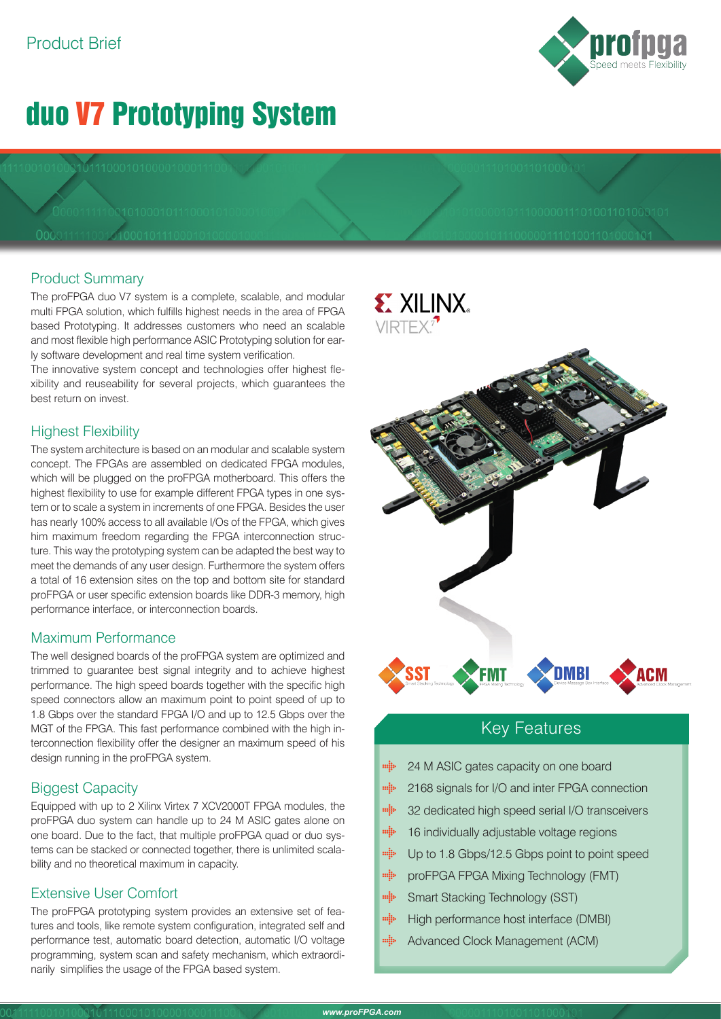# duo V7 Prototyping System

### Product Summary

The proFPGA duo V7 system is a complete, scalable, and modular multi FPGA solution, which fulfills highest needs in the area of FPGA based Prototyping. It addresses customers who need an scalable and most flexible high performance ASIC Prototyping solution for early software development and real time system verification.

The innovative system concept and technologies offer highest flexibility and reuseability for several projects, which guarantees the best return on invest.

### Highest Flexibility

The system architecture is based on an modular and scalable system concept. The FPGAs are assembled on dedicated FPGA modules, which will be plugged on the proFPGA motherboard. This offers the highest flexibility to use for example different FPGA types in one system or to scale a system in increments of one FPGA. Besides the user has nearly 100% access to all available I/Os of the FPGA, which gives him maximum freedom regarding the FPGA interconnection structure. This way the prototyping system can be adapted the best way to meet the demands of any user design. Furthermore the system offers a total of 16 extension sites on the top and bottom site for standard proFPGA or user specific extension boards like DDR-3 memory, high performance interface, or interconnection boards.

### Maximum Performance

The well designed boards of the proFPGA system are optimized and trimmed to guarantee best signal integrity and to achieve highest performance. The high speed boards together with the specific high speed connectors allow an maximum point to point speed of up to 1.8 Gbps over the standard FPGA I/O and up to 12.5 Gbps over the MGT of the FPGA. This fast performance combined with the high interconnection flexibility offer the designer an maximum speed of his design running in the proFPGA system.

### Biggest Capacity

Equipped with up to 2 Xilinx Virtex 7 XCV2000T FPGA modules, the proFPGA duo system can handle up to 24 M ASIC gates alone on one board. Due to the fact, that multiple proFPGA quad or duo systems can be stacked or connected together, there is unlimited scalability and no theoretical maximum in capacity.

### Extensive User Comfort

The proFPGA prototyping system provides an extensive set of features and tools, like remote system configuration, integrated self and performance test, automatic board detection, automatic I/O voltage programming, system scan and safety mechanism, which extraordinarily simplifies the usage of the FPGA based system.



### Key Features

- mija 24 M ASIC gates capacity on one board
- $\min_i$ 2168 signals for I/O and inter FPGA connection
- $\frac{1}{2}$ 32 dedicated high speed serial I/O transceivers
- $m_{\rm B}^2$ 16 individually adjustable voltage regions
- mijo Up to 1.8 Gbps/12.5 Gbps point to point speed
- $\frac{1}{2}$ proFPGA FPGA Mixing Technology (FMT)
- min Smart Stacking Technology (SST)
- $\begin{aligned} \mathbf{m}_{\mathbf{S}}^{\mathbf{S}}\mathbf{b} \end{aligned}$ High performance host interface (DMBI)
- $m_{\tilde{a}}^2$ Advanced Clock Management (ACM)